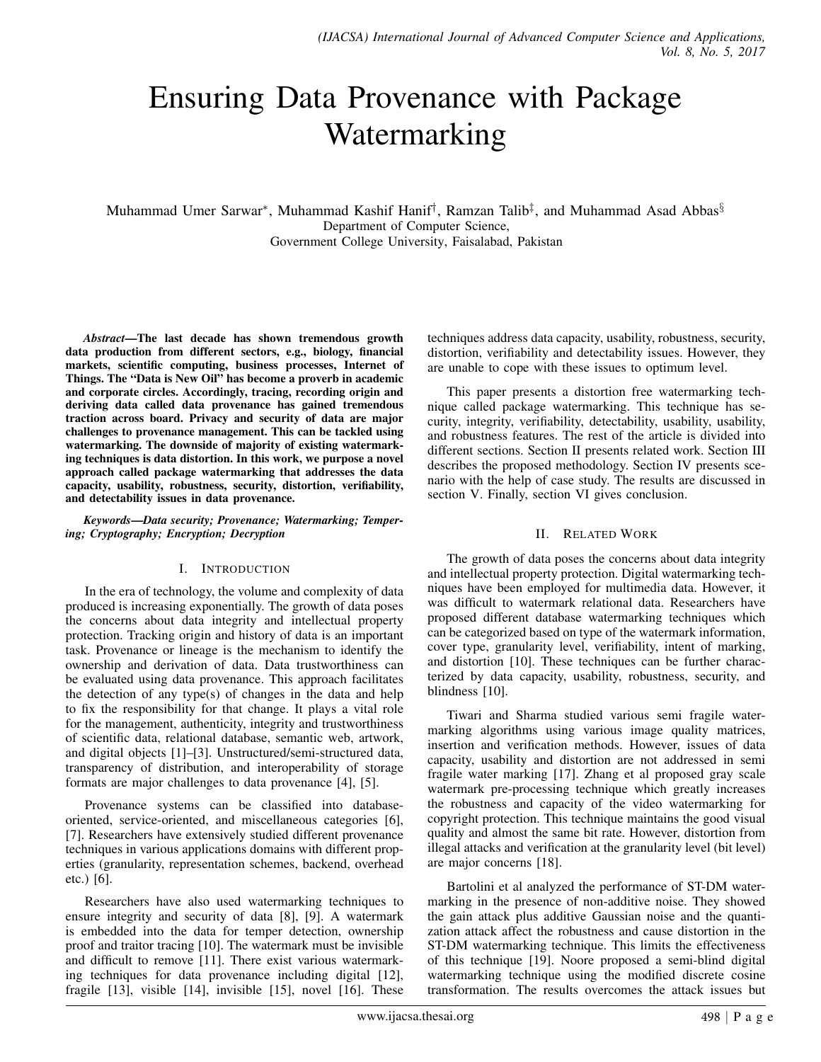# Ensuring Data Provenance with Package Watermarking

Muhammad Umer Sarwar\*, Muhammad Kashif Hanif<sup>†</sup>, Ramzan Talib<sup>‡</sup>, and Muhammad Asad Abbas<sup>§</sup> Department of Computer Science, Government College University, Faisalabad, Pakistan

*Abstract*—The last decade has shown tremendous growth data production from different sectors, e.g., biology, financial markets, scientific computing, business processes, Internet of Things. The "Data is New Oil" has become a proverb in academic and corporate circles. Accordingly, tracing, recording origin and deriving data called data provenance has gained tremendous traction across board. Privacy and security of data are major challenges to provenance management. This can be tackled using watermarking. The downside of majority of existing watermarking techniques is data distortion. In this work, we purpose a novel approach called package watermarking that addresses the data capacity, usability, robustness, security, distortion, verifiability, and detectability issues in data provenance.

*Keywords*—*Data security; Provenance; Watermarking; Tempering; Cryptography; Encryption; Decryption*

## I. INTRODUCTION

In the era of technology, the volume and complexity of data produced is increasing exponentially. The growth of data poses the concerns about data integrity and intellectual property protection. Tracking origin and history of data is an important task. Provenance or lineage is the mechanism to identify the ownership and derivation of data. Data trustworthiness can be evaluated using data provenance. This approach facilitates the detection of any type(s) of changes in the data and help to fix the responsibility for that change. It plays a vital role for the management, authenticity, integrity and trustworthiness of scientific data, relational database, semantic web, artwork, and digital objects [\[1\]](#page-2-0)–[\[3\]](#page-3-0). Unstructured/semi-structured data, transparency of distribution, and interoperability of storage formats are major challenges to data provenance [\[4\]](#page-3-1), [\[5\]](#page-3-2).

Provenance systems can be classified into databaseoriented, service-oriented, and miscellaneous categories [\[6\]](#page-3-3), [\[7\]](#page-3-4). Researchers have extensively studied different provenance techniques in various applications domains with different properties (granularity, representation schemes, backend, overhead etc.) [\[6\]](#page-3-3).

Researchers have also used watermarking techniques to ensure integrity and security of data [\[8\]](#page-3-5), [\[9\]](#page-3-6). A watermark is embedded into the data for temper detection, ownership proof and traitor tracing [\[10\]](#page-3-7). The watermark must be invisible and difficult to remove [\[11\]](#page-3-8). There exist various watermarking techniques for data provenance including digital [\[12\]](#page-3-9), fragile [\[13\]](#page-3-10), visible [\[14\]](#page-3-11), invisible [\[15\]](#page-3-12), novel [\[16\]](#page-3-13). These

techniques address data capacity, usability, robustness, security, distortion, verifiability and detectability issues. However, they are unable to cope with these issues to optimum level.

This paper presents a distortion free watermarking technique called package watermarking. This technique has security, integrity, verifiability, detectability, usability, usability, and robustness features. The rest of the article is divided into different sections. Section [II](#page-0-0) presents related work. Section [III](#page-1-0) describes the proposed methodology. Section [IV](#page-1-1) presents scenario with the help of case study. The results are discussed in section [V.](#page-1-2) Finally, section [VI](#page-2-1) gives conclusion.

## II. RELATED WORK

<span id="page-0-0"></span>The growth of data poses the concerns about data integrity and intellectual property protection. Digital watermarking techniques have been employed for multimedia data. However, it was difficult to watermark relational data. Researchers have proposed different database watermarking techniques which can be categorized based on type of the watermark information, cover type, granularity level, verifiability, intent of marking, and distortion [\[10\]](#page-3-7). These techniques can be further characterized by data capacity, usability, robustness, security, and blindness [\[10\]](#page-3-7).

Tiwari and Sharma studied various semi fragile watermarking algorithms using various image quality matrices, insertion and verification methods. However, issues of data capacity, usability and distortion are not addressed in semi fragile water marking [\[17\]](#page-3-14). Zhang et al proposed gray scale watermark pre-processing technique which greatly increases the robustness and capacity of the video watermarking for copyright protection. This technique maintains the good visual quality and almost the same bit rate. However, distortion from illegal attacks and verification at the granularity level (bit level) are major concerns [\[18\]](#page-3-15).

Bartolini et al analyzed the performance of ST-DM watermarking in the presence of non-additive noise. They showed the gain attack plus additive Gaussian noise and the quantization attack affect the robustness and cause distortion in the ST-DM watermarking technique. This limits the effectiveness of this technique [\[19\]](#page-3-16). Noore proposed a semi-blind digital watermarking technique using the modified discrete cosine transformation. The results overcomes the attack issues but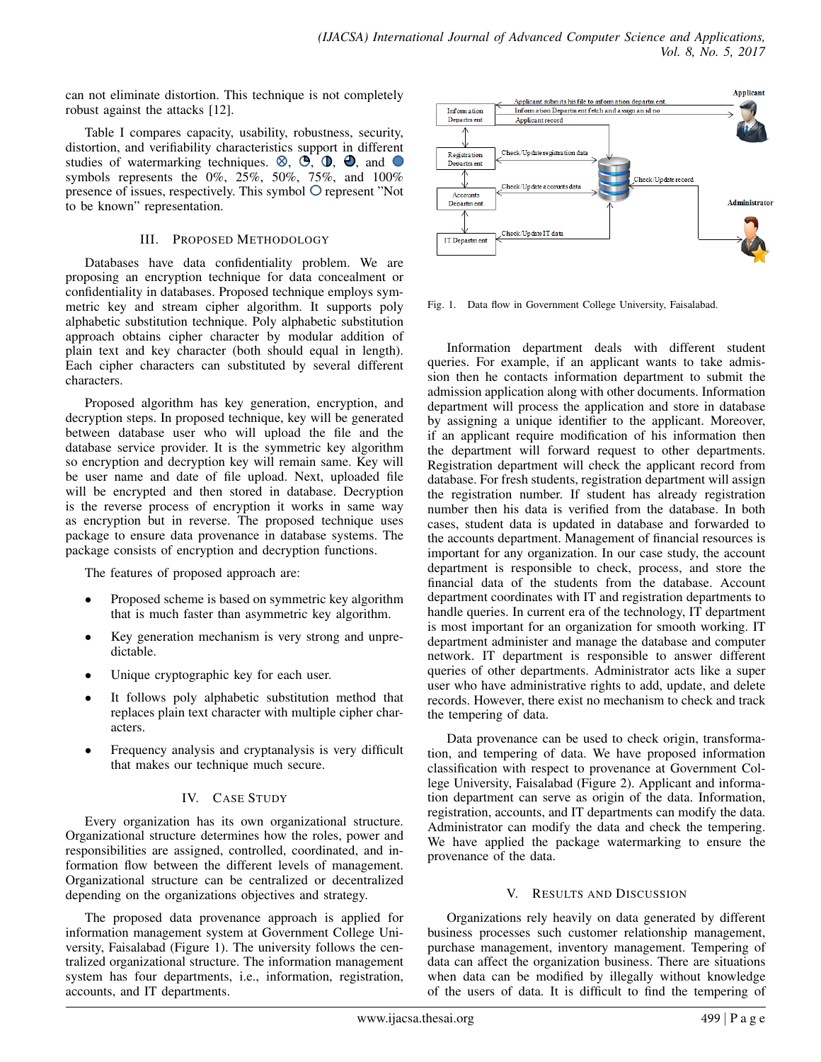can not eliminate distortion. This technique is not completely robust against the attacks [\[12\]](#page-3-9).

Table [I](#page-2-2) compares capacity, usability, robustness, security, distortion, and verifiability characteristics support in different studies of watermarking techniques.  $\otimes$ ,  $\oplus$ ,  $\oplus$ ,  $\oplus$ , and  $\odot$ symbols represents the 0%, 25%, 50%, 75%, and 100% presence of issues, respectively. This symbol  $\bigcirc$  represent "Not to be known" representation.

# III. PROPOSED METHODOLOGY

<span id="page-1-0"></span>Databases have data confidentiality problem. We are proposing an encryption technique for data concealment or confidentiality in databases. Proposed technique employs symmetric key and stream cipher algorithm. It supports poly alphabetic substitution technique. Poly alphabetic substitution approach obtains cipher character by modular addition of plain text and key character (both should equal in length). Each cipher characters can substituted by several different characters.

Proposed algorithm has key generation, encryption, and decryption steps. In proposed technique, key will be generated between database user who will upload the file and the database service provider. It is the symmetric key algorithm so encryption and decryption key will remain same. Key will be user name and date of file upload. Next, uploaded file will be encrypted and then stored in database. Decryption is the reverse process of encryption it works in same way as encryption but in reverse. The proposed technique uses package to ensure data provenance in database systems. The package consists of encryption and decryption functions.

The features of proposed approach are:

- Proposed scheme is based on symmetric key algorithm that is much faster than asymmetric key algorithm.
- Key generation mechanism is very strong and unpredictable.
- Unique cryptographic key for each user.
- It follows poly alphabetic substitution method that replaces plain text character with multiple cipher characters.
- Frequency analysis and cryptanalysis is very difficult that makes our technique much secure.

# IV. CASE STUDY

<span id="page-1-1"></span>Every organization has its own organizational structure. Organizational structure determines how the roles, power and responsibilities are assigned, controlled, coordinated, and information flow between the different levels of management. Organizational structure can be centralized or decentralized depending on the organizations objectives and strategy.

The proposed data provenance approach is applied for information management system at Government College University, Faisalabad (Figure [1\)](#page-1-3). The university follows the centralized organizational structure. The information management system has four departments, i.e., information, registration, accounts, and IT departments.



<span id="page-1-3"></span>Fig. 1. Data flow in Government College University, Faisalabad.

Information department deals with different student queries. For example, if an applicant wants to take admission then he contacts information department to submit the admission application along with other documents. Information department will process the application and store in database by assigning a unique identifier to the applicant. Moreover, if an applicant require modification of his information then the department will forward request to other departments. Registration department will check the applicant record from database. For fresh students, registration department will assign the registration number. If student has already registration number then his data is verified from the database. In both cases, student data is updated in database and forwarded to the accounts department. Management of financial resources is important for any organization. In our case study, the account department is responsible to check, process, and store the financial data of the students from the database. Account department coordinates with IT and registration departments to handle queries. In current era of the technology, IT department is most important for an organization for smooth working. IT department administer and manage the database and computer network. IT department is responsible to answer different queries of other departments. Administrator acts like a super user who have administrative rights to add, update, and delete records. However, there exist no mechanism to check and track the tempering of data.

Data provenance can be used to check origin, transformation, and tempering of data. We have proposed information classification with respect to provenance at Government College University, Faisalabad (Figure [2\)](#page-2-3). Applicant and information department can serve as origin of the data. Information, registration, accounts, and IT departments can modify the data. Administrator can modify the data and check the tempering. We have applied the package watermarking to ensure the provenance of the data.

# V. RESULTS AND DISCUSSION

<span id="page-1-2"></span>Organizations rely heavily on data generated by different business processes such customer relationship management, purchase management, inventory management. Tempering of data can affect the organization business. There are situations when data can be modified by illegally without knowledge of the users of data. It is difficult to find the tempering of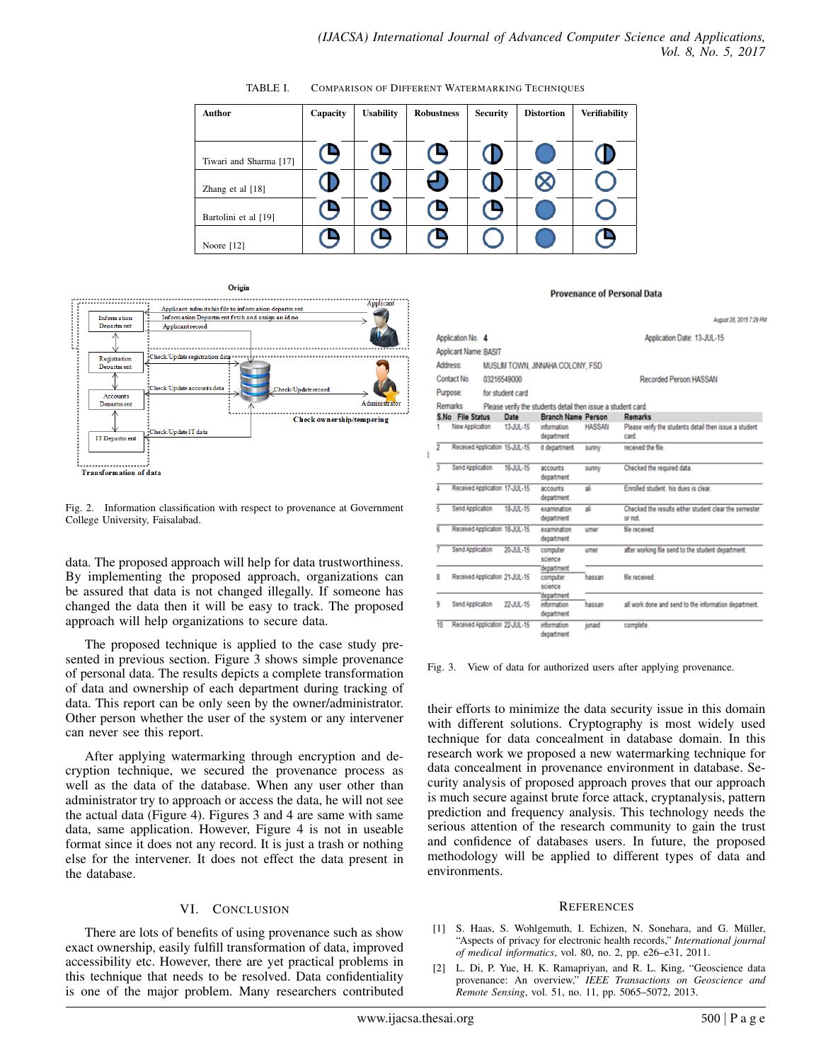| <b>Author</b>          | Capacity | <b>Usability</b>  | <b>Robustness</b> | <b>Security</b> | <b>Distortion</b> | <b>Verifiability</b> |
|------------------------|----------|-------------------|-------------------|-----------------|-------------------|----------------------|
|                        |          |                   |                   |                 |                   |                      |
| Tiwari and Sharma [17] | (Ŋ       | (9                | ( 4               | Œ               |                   |                      |
| Zhang et al $[18]$     |          |                   | æ                 |                 | Œ                 |                      |
| Bartolini et al [19]   | c        | $\mathbf{\Theta}$ | œ                 | (9              |                   |                      |
| Noore $[12]$           |          |                   | е                 |                 |                   |                      |

<span id="page-2-2"></span>TABLE I. COMPARISON OF DIFFERENT WATERMARKING TECHNIQUES



<span id="page-2-3"></span>Fig. 2. Information classification with respect to provenance at Government College University, Faisalabad.

data. The proposed approach will help for data trustworthiness. By implementing the proposed approach, organizations can be assured that data is not changed illegally. If someone has changed the data then it will be easy to track. The proposed approach will help organizations to secure data.

The proposed technique is applied to the case study presented in previous section. Figure [3](#page-2-4) shows simple provenance of personal data. The results depicts a complete transformation of data and ownership of each department during tracking of data. This report can be only seen by the owner/administrator. Other person whether the user of the system or any intervener can never see this report.

After applying watermarking through encryption and decryption technique, we secured the provenance process as well as the data of the database. When any user other than administrator try to approach or access the data, he will not see the actual data (Figure [4\)](#page-3-17). Figures [3](#page-2-4) and [4](#page-3-17) are same with same data, same application. However, Figure [4](#page-3-17) is not in useable format since it does not any record. It is just a trash or nothing else for the intervener. It does not effect the data present in the database.

## VI. CONCLUSION

<span id="page-2-1"></span>There are lots of benefits of using provenance such as show exact ownership, easily fulfill transformation of data, improved accessibility etc. However, there are yet practical problems in this technique that needs to be resolved. Data confidentiality is one of the major problem. Many researchers contributed

#### **Provenance of Personal Data**

|    |                                |             |                  |                                                              |               | August 28, 2015 7:29 PM                                          |
|----|--------------------------------|-------------|------------------|--------------------------------------------------------------|---------------|------------------------------------------------------------------|
|    | Application No. 4              |             |                  |                                                              |               | Application Date: 13-JUL-15                                      |
|    | Applicant Name: BASIT          |             |                  |                                                              |               |                                                                  |
|    | Address:                       |             |                  | MUSLIM TOWN, JINNAHA COLONY, FSD                             |               |                                                                  |
|    | Contact No.                    | 03216549000 |                  |                                                              |               | Recorded Person: HASSAN                                          |
|    | Purpose:                       |             |                  |                                                              |               |                                                                  |
|    |                                |             | for student card |                                                              |               |                                                                  |
|    | Remarks                        |             |                  | Please verify the students detail then issue a student card. |               |                                                                  |
|    | S.No File Status               |             | Date             | <b>Branch Name Person</b>                                    |               | <b>Remarks</b>                                                   |
|    | New Application                |             | 13-JUL-15        | information<br>department                                    | <b>HASSAN</b> | Please verify the students detail then issue a student<br>card.  |
| ž  | Received Application 15-JUL-15 |             |                  | it department                                                | sunny         | received the file.                                               |
| 3  | Send Application               |             | 16-JUL-15        | accounts<br>department                                       | sunny         | Checked the required data.                                       |
|    | Received Application 17-JUL-15 |             |                  | accounts<br>department                                       | зlі           | Enrolled student, his dues is clear.                             |
| 5  | Send Application               |             | 18-JUL-15        | examination<br>department                                    | яlі           | Checked the results either student clear the semester<br>or not. |
| 6  | Received Application 18-JUL-15 |             |                  | noitsmination<br>department                                  | umer          | file received                                                    |
|    | Send Application               |             | 20-JUL-15        | computer<br>science                                          | umer          | after working file send to the student department.               |
| 8  | Received Application 21-JUL-15 |             |                  | department<br>computer<br>science                            | hassan        | file received                                                    |
| ۹  | Send Application               |             | 22-JUL-15        | department<br>information<br>department                      | hassan        | all work done and send to the information department.            |
| 10 | Received Application 22-JUL-15 |             |                  | information<br>denartment                                    | junaid        | complete.                                                        |

<span id="page-2-4"></span>Fig. 3. View of data for authorized users after applying provenance.

their efforts to minimize the data security issue in this domain with different solutions. Cryptography is most widely used technique for data concealment in database domain. In this research work we proposed a new watermarking technique for data concealment in provenance environment in database. Security analysis of proposed approach proves that our approach is much secure against brute force attack, cryptanalysis, pattern prediction and frequency analysis. This technology needs the serious attention of the research community to gain the trust and confidence of databases users. In future, the proposed methodology will be applied to different types of data and environments.

#### **REFERENCES**

- <span id="page-2-0"></span>[1] S. Haas, S. Wohlgemuth, I. Echizen, N. Sonehara, and G. Müller, "Aspects of privacy for electronic health records," *International journal of medical informatics*, vol. 80, no. 2, pp. e26–e31, 2011.
- [2] L. Di, P. Yue, H. K. Ramapriyan, and R. L. King, "Geoscience data provenance: An overview," *IEEE Transactions on Geoscience and Remote Sensing*, vol. 51, no. 11, pp. 5065–5072, 2013.